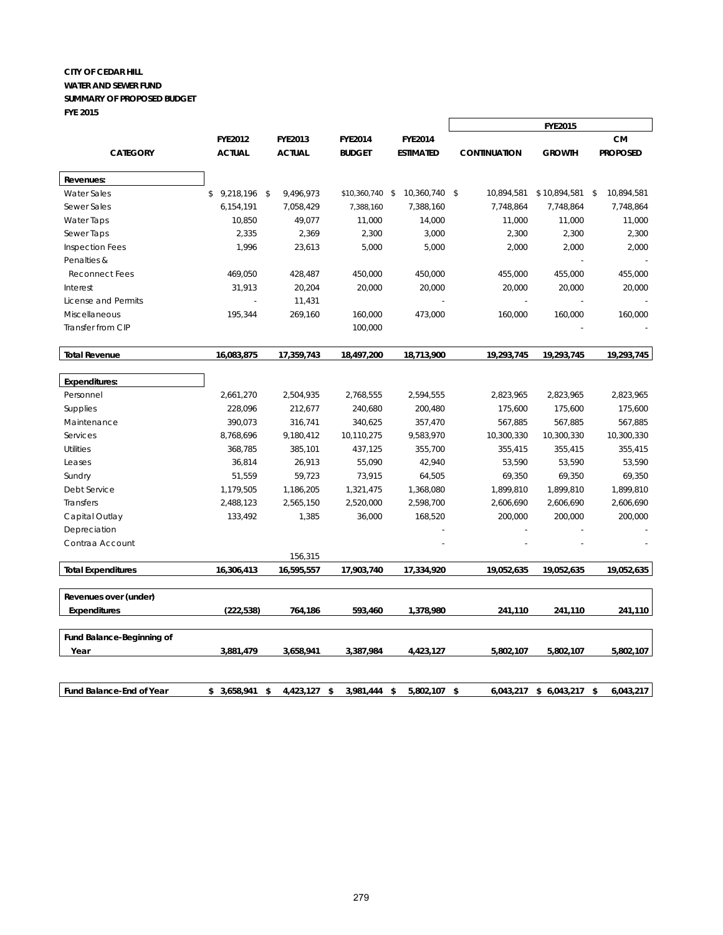#### **CITY OF CEDAR HILL WATER AND SEWER FUND SUMMARY OF PROPOSED BUDGET FYE 2015**

|                           |                 |                |                 |                  |                     | <b>FYE2015</b>   |                 |
|---------------------------|-----------------|----------------|-----------------|------------------|---------------------|------------------|-----------------|
|                           | <b>FYE2012</b>  | <b>FYE2013</b> | <b>FYE2014</b>  | <b>FYE2014</b>   |                     |                  | СM              |
| <b>CATEGORY</b>           | <b>ACTUAL</b>   | <b>ACTUAL</b>  | <b>BUDGET</b>   | <b>ESTIMATED</b> | <b>CONTINUATION</b> | <b>GROWTH</b>    | <b>PROPOSED</b> |
| Revenues:                 |                 |                |                 |                  |                     |                  |                 |
| <b>Water Sales</b>        | $$9,218,196$ \$ | 9,496,973      | \$10,360,740 \$ | 10,360,740 \$    | 10,894,581          | $$10,894,581$ \$ | 10,894,581      |
| Sewer Sales               | 6,154,191       | 7,058,429      | 7,388,160       | 7,388,160        | 7,748,864           | 7,748,864        | 7,748,864       |
| <b>Water Taps</b>         | 10,850          | 49,077         | 11,000          | 14,000           | 11,000              | 11,000           | 11,000          |
| Sewer Taps                | 2,335           | 2,369          | 2,300           | 3,000            | 2,300               | 2,300            | 2,300           |
| <b>Inspection Fees</b>    | 1,996           | 23,613         | 5,000           | 5,000            | 2,000               | 2,000            | 2,000           |
| Penalties &               |                 |                |                 |                  |                     |                  |                 |
| <b>Reconnect Fees</b>     | 469,050         | 428,487        | 450,000         | 450,000          | 455,000             | 455,000          | 455,000         |
| Interest                  | 31,913          | 20,204         | 20,000          | 20,000           | 20,000              | 20,000           | 20,000          |
| License and Permits       |                 | 11,431         |                 |                  |                     |                  |                 |
| Miscellaneous             | 195,344         | 269,160        | 160,000         | 473,000          | 160,000             | 160,000          | 160,000         |
| Transfer from CIP         |                 |                | 100,000         |                  |                     |                  |                 |
|                           |                 |                |                 |                  |                     |                  |                 |
| <b>Total Revenue</b>      | 16,083,875      | 17,359,743     | 18,497,200      | 18,713,900       | 19,293,745          | 19,293,745       | 19,293,745      |
| <b>Expenditures:</b>      |                 |                |                 |                  |                     |                  |                 |
| Personnel                 | 2,661,270       | 2,504,935      | 2,768,555       | 2,594,555        | 2,823,965           | 2,823,965        | 2,823,965       |
| <b>Supplies</b>           | 228,096         | 212,677        | 240,680         | 200,480          | 175,600             | 175,600          | 175,600         |
| Maintenance               | 390,073         | 316,741        | 340,625         | 357,470          | 567,885             | 567,885          | 567,885         |
| Services                  | 8,768,696       | 9,180,412      | 10,110,275      | 9,583,970        | 10,300,330          | 10,300,330       | 10,300,330      |
| <b>Utilities</b>          | 368,785         | 385,101        | 437,125         | 355,700          | 355,415             | 355,415          | 355,415         |
| Leases                    | 36,814          | 26,913         | 55,090          | 42,940           | 53,590              | 53,590           | 53,590          |
| Sundry                    | 51,559          | 59,723         | 73,915          | 64,505           | 69,350              | 69,350           | 69,350          |
| Debt Service              | 1,179,505       | 1,186,205      | 1,321,475       | 1,368,080        | 1,899,810           | 1,899,810        | 1,899,810       |
| <b>Transfers</b>          | 2,488,123       | 2,565,150      | 2,520,000       | 2,598,700        | 2,606,690           | 2,606,690        | 2,606,690       |
| Capital Outlay            | 133,492         | 1,385          | 36,000          | 168,520          | 200,000             | 200,000          | 200,000         |
| Depreciation              |                 |                |                 |                  |                     |                  |                 |
| Contraa Account           |                 |                |                 |                  |                     |                  |                 |
|                           |                 | 156,315        |                 |                  |                     |                  |                 |
| <b>Total Expenditures</b> | 16,306,413      | 16,595,557     | 17,903,740      | 17,334,920       | 19,052,635          | 19,052,635       | 19,052,635      |
| Revenues over (under)     |                 |                |                 |                  |                     |                  |                 |
| <b>Expenditures</b>       | (222,538)       | 764,186        | 593,460         | 1,378,980        | 241,110             | 241,110          | 241,110         |
|                           |                 |                |                 |                  |                     |                  |                 |
| Fund Balance-Beginning of |                 |                |                 |                  |                     |                  |                 |
| Year                      | 3,881,479       | 3,658,941      | 3,387,984       | 4,423,127        | 5,802,107           | 5,802,107        | 5,802,107       |
|                           |                 |                |                 |                  |                     |                  |                 |

**Fund Balance-End of Year \$ 3,658,941 \$ 4,423,127 \$ 3,981,444 \$ 5,802,107 \$ 6,043,217 \$ 6,043,217 \$ 6,043,217**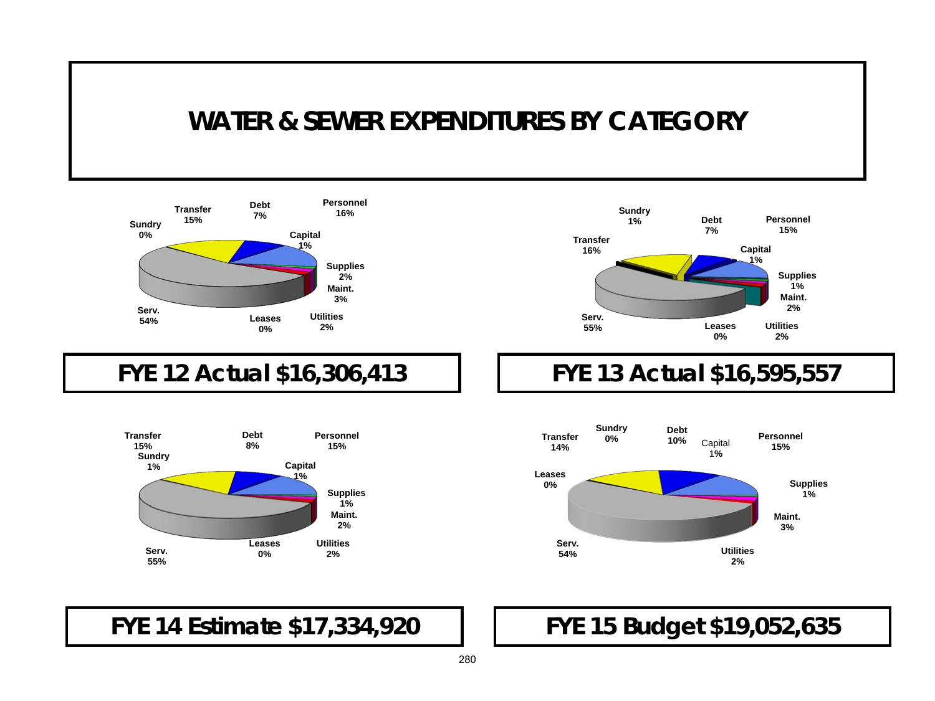## **WATER & SEWER EXPENDITURES BY CATEGORY**



#### **FYE 12 Actual \$16,306,413**





### **FYE 13 Actual \$16,595,557**



**FYE 14 Estimate \$17,334,920** 

### **FYE 15 Budget \$19,052,635**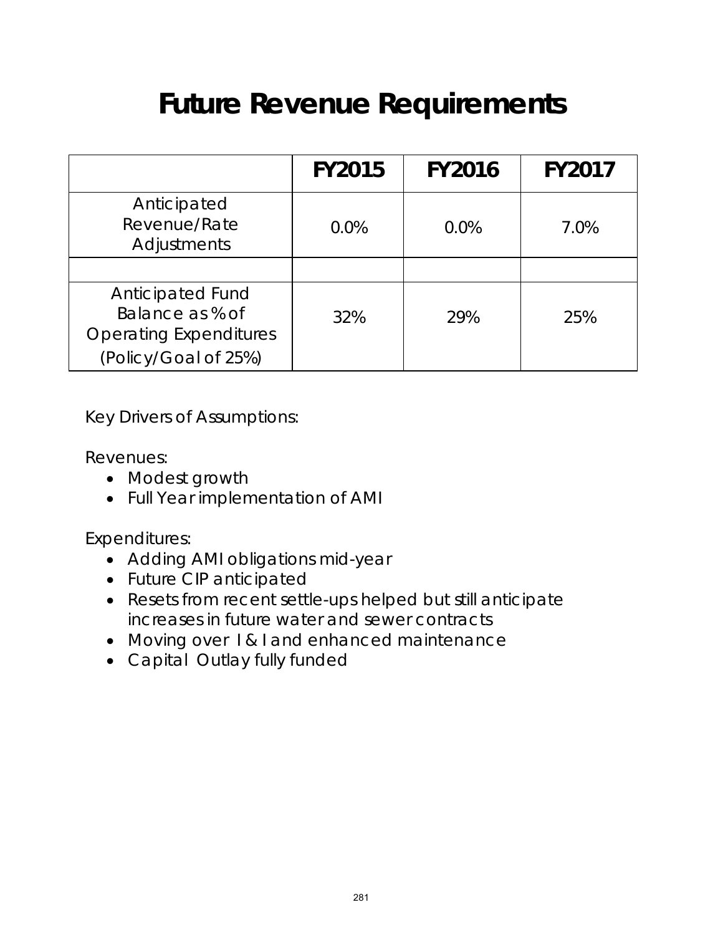# **Future Revenue Requirements**

|                                                                                                     | <b>FY2015</b> | <b>FY2016</b> | <b>FY2017</b> |
|-----------------------------------------------------------------------------------------------------|---------------|---------------|---------------|
| Anticipated<br>Revenue/Rate<br>Adjustments                                                          | 0.0%          | $0.0\%$       | 7.0%          |
|                                                                                                     |               |               |               |
| <b>Anticipated Fund</b><br>Balance as % of<br><b>Operating Expenditures</b><br>(Policy/Goal of 25%) | 32%           | 29%           | 25%           |

Key Drivers of Assumptions:

Revenues:

- Modest growth
- Full Year implementation of AMI

Expenditures:

- Adding AMI obligations mid-year
- Future CIP anticipated
- Resets from recent settle-ups helped but still anticipate increases in future water and sewer contracts
- Moving over I & I and enhanced maintenance
- Capital Outlay fully funded